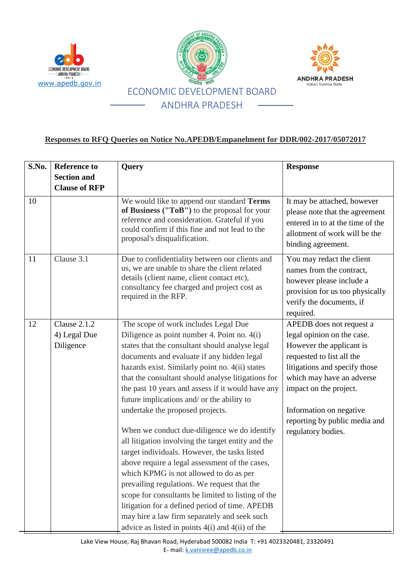





## **Responses to RFQ Queries on Notice No.APEDB/Empanelment for DDR/002-2017/05072017**

| S.No. | <b>Reference to</b><br><b>Section and</b>        | Query                                                                                                                                                                                                                                                                                                                                                                                                                                                                                                                                                                                                                                                                                                                                                                                                                                                                                                                                                  | <b>Response</b>                                                                                                                                                                                                                                                                           |
|-------|--------------------------------------------------|--------------------------------------------------------------------------------------------------------------------------------------------------------------------------------------------------------------------------------------------------------------------------------------------------------------------------------------------------------------------------------------------------------------------------------------------------------------------------------------------------------------------------------------------------------------------------------------------------------------------------------------------------------------------------------------------------------------------------------------------------------------------------------------------------------------------------------------------------------------------------------------------------------------------------------------------------------|-------------------------------------------------------------------------------------------------------------------------------------------------------------------------------------------------------------------------------------------------------------------------------------------|
|       | <b>Clause of RFP</b>                             |                                                                                                                                                                                                                                                                                                                                                                                                                                                                                                                                                                                                                                                                                                                                                                                                                                                                                                                                                        |                                                                                                                                                                                                                                                                                           |
| 10    |                                                  | We would like to append our standard Terms<br>of Business ("ToB") to the proposal for your<br>reference and consideration. Grateful if you<br>could confirm if this fine and not lead to the<br>proposal's disqualification.                                                                                                                                                                                                                                                                                                                                                                                                                                                                                                                                                                                                                                                                                                                           | It may be attached, however<br>please note that the agreement<br>entered in to at the time of the<br>allotment of work will be the<br>binding agreement.                                                                                                                                  |
| 11    | Clause 3.1                                       | Due to confidentiality between our clients and<br>us, we are unable to share the client related<br>details (client name, client contact etc),<br>consultancy fee charged and project cost as<br>required in the RFP.                                                                                                                                                                                                                                                                                                                                                                                                                                                                                                                                                                                                                                                                                                                                   | You may redact the client<br>names from the contract,<br>however please include a<br>provision for us too physically<br>verify the documents, if<br>required.                                                                                                                             |
| 12    | <b>Clause 2.1.2</b><br>4) Legal Due<br>Diligence | The scope of work includes Legal Due<br>Diligence as point number 4. Point no. 4(i)<br>states that the consultant should analyse legal<br>documents and evaluate if any hidden legal<br>hazards exist. Similarly point no. 4(ii) states<br>that the consultant should analyse litigations for<br>the past 10 years and assess if it would have any<br>future implications and/ or the ability to<br>undertake the proposed projects.<br>When we conduct due-diligence we do identify<br>all litigation involving the target entity and the<br>target individuals. However, the tasks listed<br>above require a legal assessment of the cases,<br>which KPMG is not allowed to do as per<br>prevailing regulations. We request that the<br>scope for consultants be limited to listing of the<br>litigation for a defined period of time. APEDB<br>may hire a law firm separately and seek such<br>advice as listed in points $4(i)$ and $4(ii)$ of the | APEDB does not request a<br>legal opinion on the case.<br>However the applicant is<br>requested to list all the<br>litigations and specify those<br>which may have an adverse<br>impact on the project.<br>Information on negative<br>reporting by public media and<br>regulatory bodies. |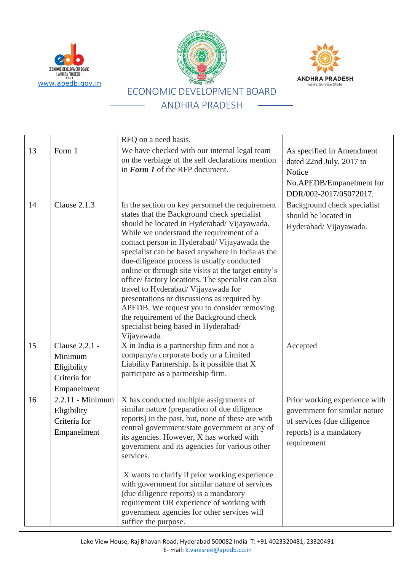





|    |                                                                         | RFQ on a need basis.                                                                                                                                                                                                                                                                                                                                                                                                                                                                                                                                                                                                                                                                          |                                                                                                                                        |
|----|-------------------------------------------------------------------------|-----------------------------------------------------------------------------------------------------------------------------------------------------------------------------------------------------------------------------------------------------------------------------------------------------------------------------------------------------------------------------------------------------------------------------------------------------------------------------------------------------------------------------------------------------------------------------------------------------------------------------------------------------------------------------------------------|----------------------------------------------------------------------------------------------------------------------------------------|
| 13 | Form 1                                                                  | We have checked with our internal legal team<br>on the verbiage of the self declarations mention<br>in Form 1 of the RFP document.                                                                                                                                                                                                                                                                                                                                                                                                                                                                                                                                                            | As specified in Amendment<br>dated 22nd July, 2017 to<br>Notice<br>No.APEDB/Empanelment for<br>DDR/002-2017/05072017.                  |
| 14 | Clause 2.1.3                                                            | In the section on key personnel the requirement<br>states that the Background check specialist<br>should be located in Hyderabad/ Vijayawada.<br>While we understand the requirement of a<br>contact person in Hyderabad/ Vijayawada the<br>specialist can be based anywhere in India as the<br>due-diligence process is usually conducted<br>online or through site visits at the target entity's<br>office/factory locations. The specialist can also<br>travel to Hyderabad/ Vijayawada for<br>presentations or discussions as required by<br>APEDB. We request you to consider removing<br>the requirement of the Background check<br>specialist being based in Hyderabad/<br>Vijayawada. | Background check specialist<br>should be located in<br>Hyderabad/ Vijayawada.                                                          |
| 15 | Clause 2.2.1 -<br>Minimum<br>Eligibility<br>Criteria for<br>Empanelment | X in India is a partnership firm and not a<br>company/a corporate body or a Limited<br>Liability Partnership. Is it possible that X<br>participate as a partnership firm.                                                                                                                                                                                                                                                                                                                                                                                                                                                                                                                     | Accepted                                                                                                                               |
| 16 | 2.2.11 - Minimum<br>Eligibility<br>Criteria for<br>Empanelment          | X has conducted multiple assignments of<br>similar nature (preparation of due diligence<br>reports) in the past, but, none of these are with<br>central government/state government or any of<br>its agencies. However, X has worked with<br>government and its agencies for various other<br>services.<br>X wants to clarify if prior working experience<br>with government for similar nature of services<br>(due diligence reports) is a mandatory<br>requirement OR experience of working with<br>government agencies for other services will<br>suffice the purpose.                                                                                                                     | Prior working experience with<br>government for similar nature<br>of services (due diligence<br>reports) is a mandatory<br>requirement |